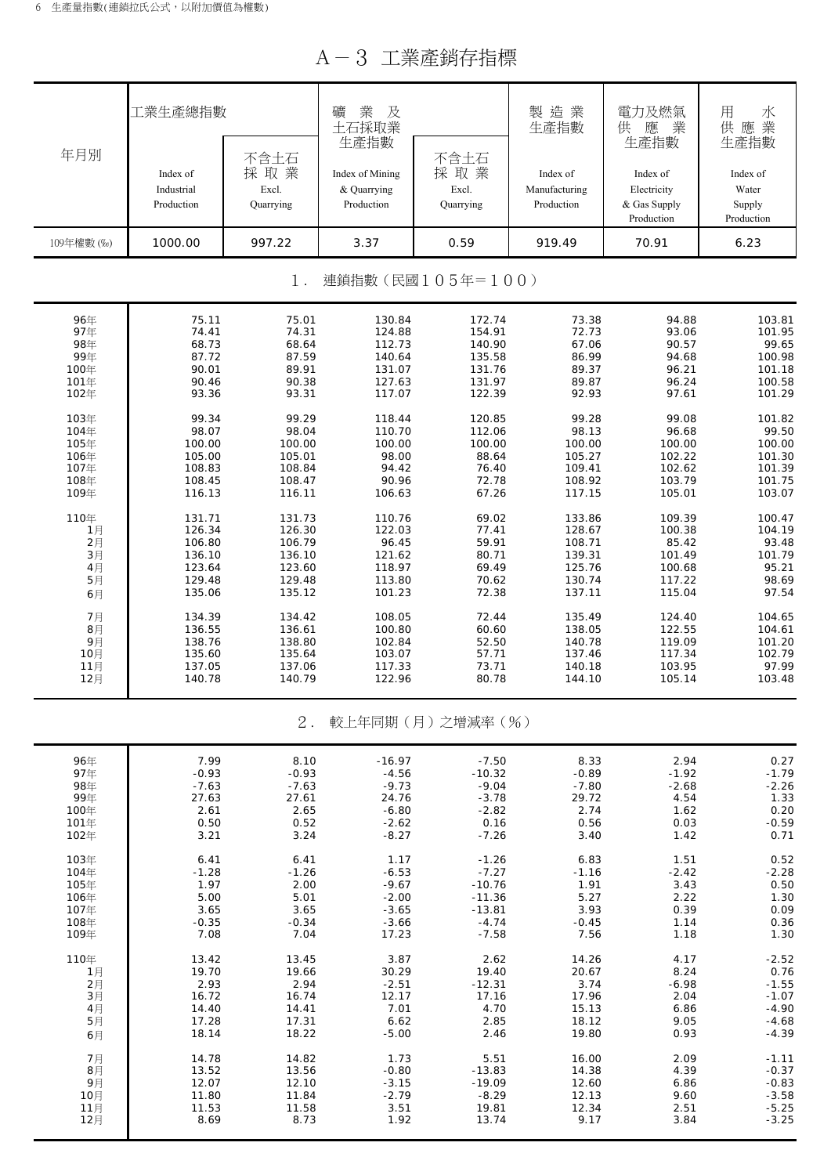A-3 工業產銷存指標

|                           | 工業生產總指數                              |                                   | 業<br>礦<br>及<br>土石採取業<br>生產指數                 |                                   | 製造業<br>生產指數                             | 電力及燃氣<br>業<br>供<br>應<br>生產指數                          | 用<br>水<br>業<br>供應<br>生產指數                 |  |  |  |  |  |  |
|---------------------------|--------------------------------------|-----------------------------------|----------------------------------------------|-----------------------------------|-----------------------------------------|-------------------------------------------------------|-------------------------------------------|--|--|--|--|--|--|
| 年月別                       | Index of<br>Industrial<br>Production | 不含土石<br>採取業<br>Excl.<br>Quarrying | Index of Mining<br>& Quarrying<br>Production | 不含土石<br>採取業<br>Excl.<br>Quarrying | Index of<br>Manufacturing<br>Production | Index of<br>Electricity<br>& Gas Supply<br>Production | Index of<br>Water<br>Supply<br>Production |  |  |  |  |  |  |
| 109年權數 (‰)                | 1000.00                              | 997.22                            | 3.37                                         | 0.59                              | 919.49                                  | 70.91                                                 | 6.23                                      |  |  |  |  |  |  |
| 連鎖指數(民國105年=100)<br>$1$ . |                                      |                                   |                                              |                                   |                                         |                                                       |                                           |  |  |  |  |  |  |
| 96年                       | 75.11                                | 75.01                             | 130.84                                       | 172.74                            | 73.38                                   | 94.88                                                 | 103.81                                    |  |  |  |  |  |  |
| 97年                       | 74.41                                | 74.31                             | 124.88                                       | 154.91                            | 72.73                                   | 93.06                                                 | 101.95                                    |  |  |  |  |  |  |
| 98年                       | 68.73                                | 68.64                             | 112.73                                       | 140.90                            | 67.06                                   | 90.57                                                 | 99.65                                     |  |  |  |  |  |  |
| 99年                       | 87.72                                | 87.59                             | 140.64                                       | 135.58                            | 86.99                                   | 94.68                                                 | 100.98                                    |  |  |  |  |  |  |
| 100年                      | 90.01                                | 89.91                             | 131.07                                       | 131.76                            | 89.37                                   | 96.21                                                 | 101.18                                    |  |  |  |  |  |  |
| 101年                      | 90.46                                | 90.38                             | 127.63                                       | 131.97                            | 89.87                                   | 96.24                                                 | 100.58                                    |  |  |  |  |  |  |
| 102年                      | 93.36                                | 93.31                             | 117.07                                       | 122.39                            | 92.93                                   | 97.61                                                 | 101.29                                    |  |  |  |  |  |  |
| 103年                      | 99.34                                | 99.29                             | 118.44                                       | 120.85                            | 99.28                                   | 99.08                                                 | 101.82                                    |  |  |  |  |  |  |
| 104年                      | 98.07                                | 98.04                             | 110.70                                       | 112.06                            | 98.13                                   | 96.68                                                 | 99.50                                     |  |  |  |  |  |  |
| 105年                      | 100.00                               | 100.00                            | 100.00                                       | 100.00                            | 100.00                                  | 100.00                                                | 100.00                                    |  |  |  |  |  |  |
| 106年                      | 105.00                               | 105.01                            | 98.00                                        | 88.64                             | 105.27                                  | 102.22                                                | 101.30                                    |  |  |  |  |  |  |
| 107年                      | 108.83                               | 108.84                            | 94.42                                        | 76.40                             | 109.41                                  | 102.62                                                | 101.39                                    |  |  |  |  |  |  |
| 108年                      | 108.45                               | 108.47                            | 90.96                                        | 72.78                             | 108.92                                  | 103.79                                                | 101.75                                    |  |  |  |  |  |  |
| 109年                      | 116.13                               | 116.11                            | 106.63                                       | 67.26                             | 117.15                                  | 105.01                                                | 103.07                                    |  |  |  |  |  |  |
| 110年                      | 131.71                               | 131.73                            | 110.76                                       | 69.02                             | 133.86                                  | 109.39                                                | 100.47                                    |  |  |  |  |  |  |
| 1月                        | 126.34                               | 126.30                            | 122.03                                       | 77.41                             | 128.67                                  | 100.38                                                | 104.19                                    |  |  |  |  |  |  |
| 2月                        | 106.80                               | 106.79                            | 96.45                                        | 59.91                             | 108.71                                  | 85.42                                                 | 93.48                                     |  |  |  |  |  |  |
| 3月                        | 136.10                               | 136.10                            | 121.62                                       | 80.71                             | 139.31                                  | 101.49                                                | 101.79                                    |  |  |  |  |  |  |
| 4月                        | 123.64                               | 123.60                            | 118.97                                       | 69.49                             | 125.76                                  | 100.68                                                | 95.21                                     |  |  |  |  |  |  |
| 5月                        | 129.48                               | 129.48                            | 113.80                                       | 70.62                             | 130.74                                  | 117.22                                                | 98.69                                     |  |  |  |  |  |  |
| 6月                        | 135.06                               | 135.12                            | 101.23                                       | 72.38                             | 137.11                                  | 115.04                                                | 97.54                                     |  |  |  |  |  |  |
| 7月                        | 134.39                               | 134.42                            | 108.05                                       | 72.44                             | 135.49                                  | 124.40                                                | 104.65                                    |  |  |  |  |  |  |
| 8月                        | 136.55                               | 136.61                            | 100.80                                       | 60.60                             | 138.05                                  | 122.55                                                | 104.61                                    |  |  |  |  |  |  |
| 9月                        | 138.76                               | 138.80                            | 102.84                                       | 52.50                             | 140.78                                  | 119.09                                                | 101.20                                    |  |  |  |  |  |  |
| 10月                       | 135.60                               | 135.64                            | 103.07                                       | 57.71                             | 137.46                                  | 117.34                                                | 102.79                                    |  |  |  |  |  |  |
| 11月                       | 137.05                               | 137.06                            | 117.33                                       | 73.71                             | 140.18                                  | 103.95                                                | 97.99                                     |  |  |  |  |  |  |
| 12月                       | 140.78                               | 140.79                            | 122.96                                       | 80.78                             | 144.10                                  | 105.14                                                | 103.48                                    |  |  |  |  |  |  |
|                           |                                      | $2$ .                             |                                              | 較上年同期(月)之增減率(%)                   |                                         |                                                       |                                           |  |  |  |  |  |  |
| 96年                       | 7.99                                 | 8.10                              | $-16.97$                                     | $-7.50$                           | 8.33                                    | 2.94                                                  | 0.27                                      |  |  |  |  |  |  |
| 97年                       | $-0.93$                              | $-0.93$                           | $-4.56$                                      | $-10.32$                          | $-0.89$                                 | $-1.92$                                               | $-1.79$                                   |  |  |  |  |  |  |
| 98年                       | $-7.63$                              | $-7.63$                           | $-9.73$                                      | $-9.04$                           | $-7.80$                                 | $-2.68$                                               | $-2.26$                                   |  |  |  |  |  |  |
| 99年                       | 27.63                                | 27.61                             | 24.76                                        | $-3.78$                           | 29.72                                   | 4.54                                                  | 1.33                                      |  |  |  |  |  |  |
| 100年                      | 2.61                                 | 2.65                              | $-6.80$                                      | $-2.82$                           | 2.74                                    | 1.62                                                  | 0.20                                      |  |  |  |  |  |  |
| 101年                      | 0.50                                 | 0.52                              | $-2.62$                                      | 0.16                              | 0.56                                    | 0.03                                                  | $-0.59$                                   |  |  |  |  |  |  |
| 102年                      | 3.21                                 | 3.24                              | $-8.27$                                      | $-7.26$                           | 3.40                                    | 1.42                                                  | 0.71                                      |  |  |  |  |  |  |
| 103年                      | 6.41                                 | 6.41                              | 1.17                                         | $-1.26$                           | 6.83                                    | 1.51                                                  | 0.52                                      |  |  |  |  |  |  |
| 104年                      | $-1.28$                              | $-1.26$                           | $-6.53$                                      | $-7.27$                           | -1.16                                   | $-2.42$                                               | $-2.28$                                   |  |  |  |  |  |  |
| 105年                      | 1.97                                 | 2.00                              | $-9.67$                                      | $-10.76$                          | 1.91                                    | 3.43                                                  | 0.50                                      |  |  |  |  |  |  |
| 106年                      | 5.00                                 | 5.01                              | $-2.00$                                      | $-11.36$                          | 5.27                                    | 2.22                                                  | 1.30                                      |  |  |  |  |  |  |
| 107年                      | 3.65                                 | 3.65                              | $-3.65$                                      | $-13.81$                          | 3.93                                    | 0.39                                                  | 0.09                                      |  |  |  |  |  |  |
| 108年                      | $-0.35$                              | $-0.34$                           | $-3.66$                                      | $-4.74$                           | $-0.45$                                 | 1.14                                                  | 0.36                                      |  |  |  |  |  |  |
| 109年                      | 7.08                                 | 7.04                              | 17.23                                        | $-7.58$                           | 7.56                                    | 1.18                                                  | 1.30                                      |  |  |  |  |  |  |
| 110年                      | 13.42                                | 13.45                             | 3.87                                         | 2.62                              | 14.26                                   | 4.17                                                  | $-2.52$                                   |  |  |  |  |  |  |
| 1月                        | 19.70                                | 19.66                             | 30.29                                        | 19.40                             | 20.67                                   | 8.24                                                  | 0.76                                      |  |  |  |  |  |  |
| 2月                        | 2.93                                 | 2.94                              | $-2.51$                                      | $-12.31$                          | 3.74                                    | $-6.98$                                               | $-1.55$                                   |  |  |  |  |  |  |
| 3月                        | 16.72                                | 16.74                             | 12.17                                        | 17.16                             | 17.96                                   | 2.04                                                  | $-1.07$                                   |  |  |  |  |  |  |
| 4月                        | 14.40                                | 14.41                             | 7.01                                         | 4.70                              | 15.13                                   | 6.86                                                  | $-4.90$                                   |  |  |  |  |  |  |
| 5月                        | 17.28                                | 17.31                             | 6.62                                         | 2.85                              | 18.12                                   | 9.05                                                  | $-4.68$                                   |  |  |  |  |  |  |
| 6月                        | 18.14                                | 18.22                             | $-5.00$                                      | 2.46                              | 19.80                                   | 0.93                                                  | $-4.39$                                   |  |  |  |  |  |  |
| 7月                        | 14.78                                | 14.82                             | 1.73                                         | 5.51                              | 16.00                                   | 2.09                                                  | $-1.11$                                   |  |  |  |  |  |  |
| 8月                        | 13.52                                | 13.56                             | $-0.80$                                      | $-13.83$                          | 14.38                                   | 4.39                                                  | $-0.37$                                   |  |  |  |  |  |  |
| 9月                        | 12.07                                | 12.10                             | $-3.15$                                      | $-19.09$                          | 12.60                                   | 6.86                                                  | $-0.83$                                   |  |  |  |  |  |  |
| 10月                       | 11.80                                | 11.84                             | $-2.79$                                      | $-8.29$                           | 12.13                                   | 9.60                                                  | $-3.58$                                   |  |  |  |  |  |  |
| 11月                       | 11.53                                | 11.58                             | 3.51                                         | 19.81                             | 12.34                                   | 2.51                                                  | $-5.25$                                   |  |  |  |  |  |  |
| 12月                       | 8.69                                 | 8.73                              | 1.92                                         | 13.74                             | 9.17                                    | 3.84                                                  | $-3.25$                                   |  |  |  |  |  |  |